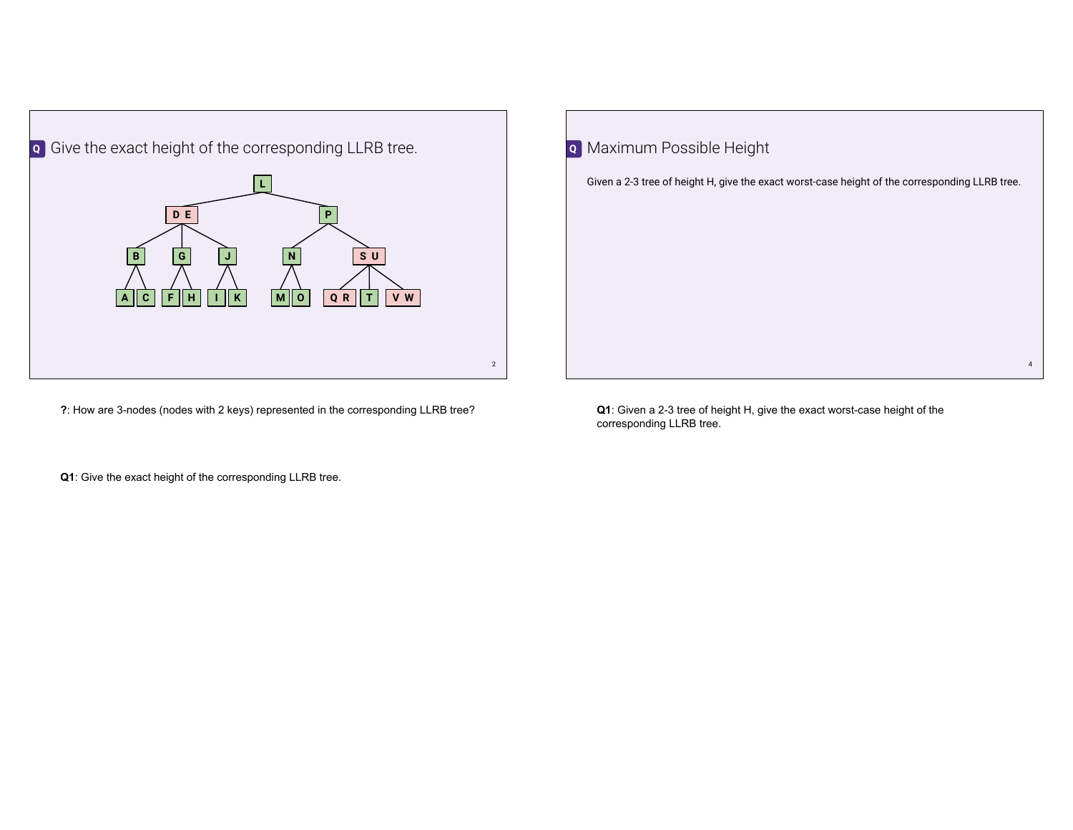

**?**: How are 3-nodes (nodes with 2 keys) represented in the corresponding LLRB tree?

| $\overline{Q}$ | Maximum Possible Height                                                                        |                |
|----------------|------------------------------------------------------------------------------------------------|----------------|
|                | Given a 2-3 tree of height H, give the exact worst-case height of the corresponding LLRB tree. |                |
|                |                                                                                                |                |
|                |                                                                                                |                |
|                |                                                                                                |                |
|                |                                                                                                |                |
|                |                                                                                                |                |
|                |                                                                                                | $\overline{4}$ |

**Q1**: Given a 2-3 tree of height H, give the exact worst-case height of the corresponding LLRB tree.

**Q1**: Give the exact height of the corresponding LLRB tree.